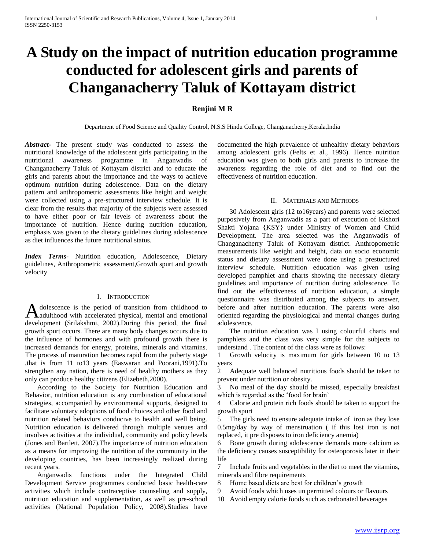# **A Study on the impact of nutrition education programme conducted for adolescent girls and parents of Changanacherry Taluk of Kottayam district**

## **Renjini M R**

Department of Food Science and Quality Control, N.S.S Hindu College, Changanacherry,Kerala,India

*Abstract***-** The present study was conducted to assess the nutritional knowledge of the adolescent girls participating in the nutritional awareness programme in Anganwadis of Changanacherry Taluk of Kottayam district and to educate the girls and parents about the importance and the ways to achieve optimum nutrition during adolescence. Data on the dietary pattern and anthropometric assessments like height and weight were collected using a pre-structured interview schedule. It is clear from the results that majority of the subjects were assessed to have either poor or fair levels of awareness about the importance of nutrition. Hence during nutrition education, emphasis was given to the dietary guidelines during adolescence as diet influences the future nutritional status.

*Index Terms*- Nutrition education, Adolescence, Dietary guidelines, Anthropometric assessment,Growth spurt and growth velocity

#### I. INTRODUCTION

dolescence is the period of transition from childhood to adulthood with accelerated physical, mental and emotional development (Srilakshmi, 2002).During this period, the final growth spurt occurs. There are many body changes occurs due to the influence of hormones and with profound growth there is increased demands for energy, proteins, minerals and vitamins. The process of maturation becomes rapid from the puberty stage ,that is from 11 to13 years (Easwaran and Poorani,1991).To strengthen any nation, there is need of healthy mothers as they only can produce healthy citizens (Elizebeth,2000). A

 According to the Society for Nutrition Education and Behavior, nutrition education is any combination of educational strategies, accompanied by environmental supports, designed to facilitate voluntary adoptions of food choices and other food and nutrition related behaviors conducive to health and well being. Nutrition education is delivered through multiple venues and involves activities at the individual, community and policy levels (Jones and Bartlett, 2007).The importance of nutrition education as a means for improving the nutrition of the community in the developing countries, has been increasingly realized during recent years.

 Anganwadis functions under the Integrated Child Development Service programmes conducted basic health-care activities which include contraceptive counseling and supply, nutrition education and supplementation, as well as pre-school activities (National Population Policy, 2008).Studies have

documented the high prevalence of unhealthy dietary behaviors among adolescent girls (Felts et al., 1996). Hence nutrition education was given to both girls and parents to increase the awareness regarding the role of diet and to find out the effectiveness of nutrition education.

### II. MATERIALS AND METHODS

 30 Adolescent girls (12 to16years) and parents were selected purposively from Anganwadis as a part of execution of Kishori Shakti Yojana {KSY} under Ministry of Women and Child Development. The area selected was the Anganwadis of Changanacherry Taluk of Kottayam district. Anthropometric measurements like weight and height, data on socio economic status and dietary assessment were done using a prestuctured interview schedule. Nutrition education was given using developed pamphlet and charts showing the necessary dietary guidelines and importance of nutrition during adolescence. To find out the effectiveness of nutrition education, a simple questionnaire was distributed among the subjects to answer, before and after nutrition education. The parents were also oriented regarding the physiological and mental changes during adolescence.

 The nutrition education was l using colourful charts and pamphlets and the class was very simple for the subjects to understand . The content of the class were as follows:

1 Growth velocity is maximum for girls between 10 to 13 years

2 Adequate well balanced nutritious foods should be taken to prevent under nutrition or obesity.

3 No meal of the day should be missed, especially breakfast which is regarded as the 'food for brain'

4 Calorie and protein rich foods should be taken to support the growth spurt

5 The girls need to ensure adequate intake of iron as they lose 0.5mg/day by way of menstruation ( if this lost iron is not replaced, it pre disposes to iron deficiency anemia)

6 Bone growth during adolescence demands more calcium as the deficiency causes susceptibility for osteoporosis later in their life

7 Include fruits and vegetables in the diet to meet the vitamins, minerals and fibre requirements

- 8 Home based diets are best for children's growth
- 9 Avoid foods which uses un permitted colours or flavours
- 10 Avoid empty calorie foods such as carbonated beverages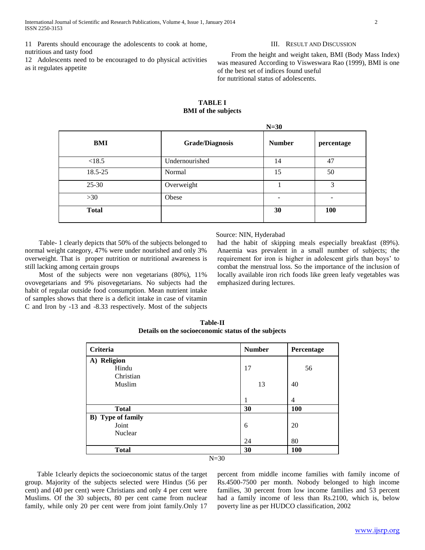as it regulates appetite

#### III. RESULT AND DISCUSSION

12 Adolescents need to be encouraged to do physical activities From the height and weight taken, BMI (Body Mass Index) was measured According to Visweswara Rao (1999), BMI is one of the best set of indices found useful for nutritional status of adolescents.

## **TABLE I BMI of the subjects**

| $N=30$                 |                             |                          |  |
|------------------------|-----------------------------|--------------------------|--|
| <b>Grade/Diagnosis</b> | <b>Number</b><br>percentage |                          |  |
| Undernourished         | 14                          | 47                       |  |
| Normal                 | 15                          | 50<br>3                  |  |
| Overweight             |                             |                          |  |
| Obese                  |                             | $\overline{\phantom{a}}$ |  |
|                        | 30                          | 100                      |  |
|                        |                             |                          |  |

#### Source: NIN, Hyderabad

 Table- 1 clearly depicts that 50% of the subjects belonged to normal weight category, 47% were under nourished and only 3% overweight. That is proper nutrition or nutritional awareness is still lacking among certain groups

 Most of the subjects were non vegetarians (80%), 11% ovovegetarians and 9% pisovegetarians. No subjects had the habit of regular outside food consumption. Mean nutrient intake of samples shows that there is a deficit intake in case of vitamin C and Iron by -13 and -8.33 respectively. Most of the subjects had the habit of skipping meals especially breakfast (89%). Anaemia was prevalent in a small number of subjects; the requirement for iron is higher in adolescent girls than boys' to combat the menstrual loss. So the importance of the inclusion of locally available iron rich foods like green leafy vegetables was emphasized during lectures.

| Criteria                  | <b>Number</b> | Percentage     |
|---------------------------|---------------|----------------|
| A) Religion               |               |                |
| Hindu                     | 17            | 56             |
| Christian                 |               |                |
| Muslim                    | 13            | 40             |
|                           |               |                |
|                           | л.            | $\overline{4}$ |
| <b>Total</b>              | 30            | <b>100</b>     |
| <b>B</b> ) Type of family |               |                |
| Joint                     | 6             | 20             |
| Nuclear                   |               |                |
|                           | 24            | 80             |
| <b>Total</b>              | 30            | <b>100</b>     |
|                           | $N=30$        |                |

**Table-II Details on the socioeconomic status of the subjects**

 Table 1clearly depicts the socioeconomic status of the target group. Majority of the subjects selected were Hindus (56 per cent) and (40 per cent) were Christians and only 4 per cent were Muslims. Of the 30 subjects, 80 per cent came from nuclear family, while only 20 per cent were from joint family.Only 17

percent from middle income families with family income of Rs.4500-7500 per month. Nobody belonged to high income families, 30 percent from low income families and 53 percent had a family income of less than Rs.2100, which is, below poverty line as per HUDCO classification, 2002